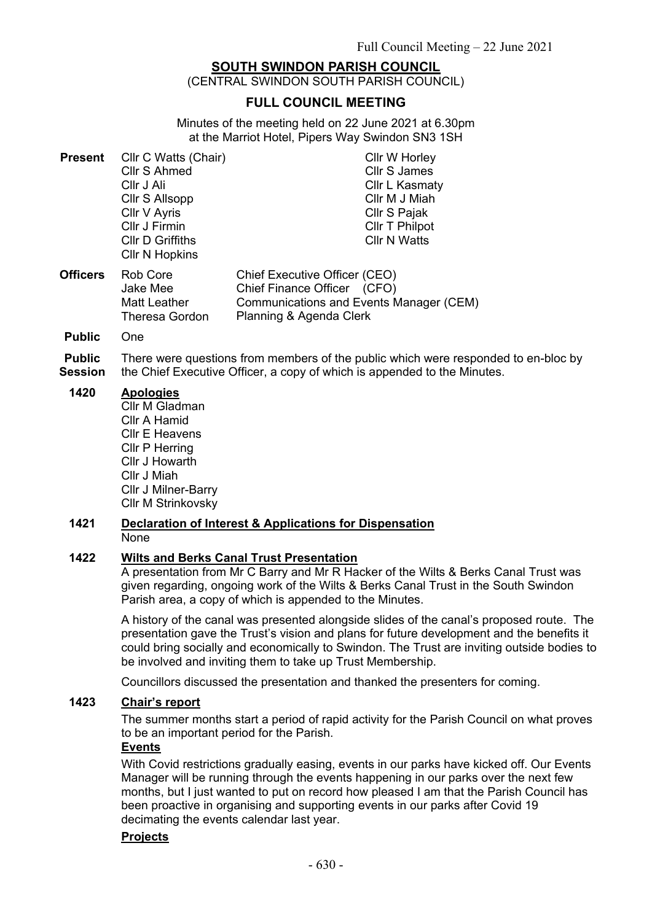# **SOUTH SWINDON PARISH COUNCIL**

(CENTRAL SWINDON SOUTH PARISH COUNCIL)

## **FULL COUNCIL MEETING**

Minutes of the meeting held on 22 June 2021 at 6.30pm at the Marriot Hotel, Pipers Way Swindon SN3 1SH

| Present         | Cllr C Watts (Chair)<br><b>Cllr S Ahmed</b><br>Cllr J Ali<br>Cllr S Allsopp<br>Cllr V Ayris | Cllr W Horley<br><b>Cllr S James</b><br>Cllr L Kasmaty<br>Cllr M J Miah<br>Cllr S Pajak |  |
|-----------------|---------------------------------------------------------------------------------------------|-----------------------------------------------------------------------------------------|--|
|                 | Cllr J Firmin<br>Cllr D Griffiths<br><b>CIIr N Hopkins</b>                                  | <b>CIIr T Philpot</b><br><b>CIIr N Watts</b>                                            |  |
| <b>Officers</b> | Roh Core                                                                                    | Chief Executive Officer (CEO)                                                           |  |

**Officers** Rob Core Jake Mee Matt Leather Theresa Gordon Chief Executive Officer (CEO) Chief Finance Officer (CFO) Communications and Events Manager (CEM) Planning & Agenda Clerk

**Public** One

**Public Session** There were questions from members of the public which were responded to en-bloc by the Chief Executive Officer, a copy of which is appended to the Minutes.

### **1420 Apologies**

Cllr M Gladman Cllr A Hamid Cllr E Heavens Cllr P Herring Cllr J Howarth Cllr J Miah Cllr J Milner-Barry Cllr M Strinkovsky

#### **1421 Declaration of Interest & Applications for Dispensation** None

### **1422 Wilts and Berks Canal Trust Presentation**

A presentation from Mr C Barry and Mr R Hacker of the Wilts & Berks Canal Trust was given regarding, ongoing work of the Wilts & Berks Canal Trust in the South Swindon Parish area, a copy of which is appended to the Minutes.

A history of the canal was presented alongside slides of the canal's proposed route. The presentation gave the Trust's vision and plans for future development and the benefits it could bring socially and economically to Swindon. The Trust are inviting outside bodies to be involved and inviting them to take up Trust Membership.

Councillors discussed the presentation and thanked the presenters for coming.

## **1423 Chair's report**

The summer months start a period of rapid activity for the Parish Council on what proves to be an important period for the Parish.

### **Events**

With Covid restrictions gradually easing, events in our parks have kicked off. Our Events Manager will be running through the events happening in our parks over the next few months, but I just wanted to put on record how pleased I am that the Parish Council has been proactive in organising and supporting events in our parks after Covid 19 decimating the events calendar last year.

### **Projects**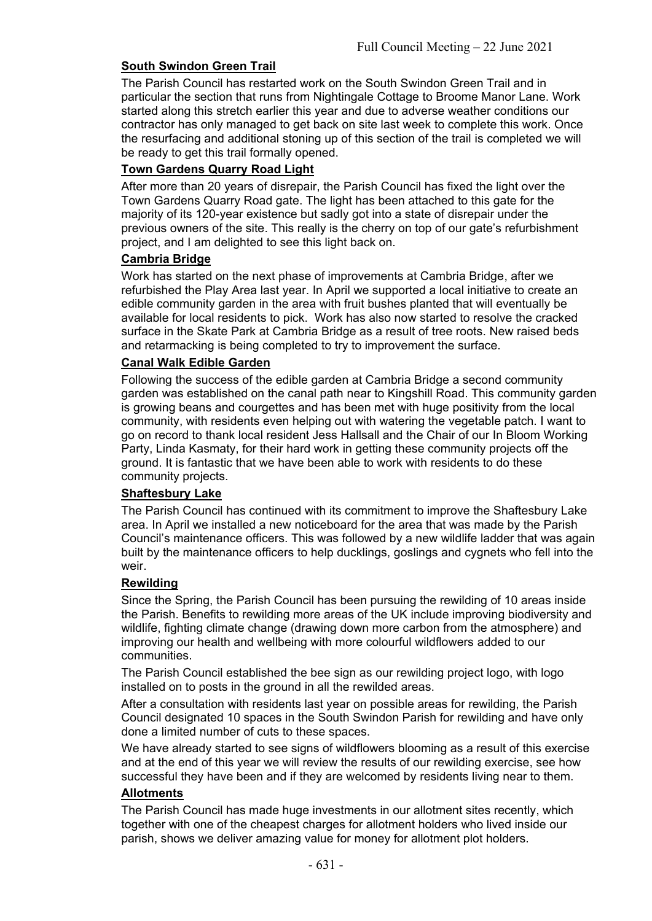## **South Swindon Green Trail**

The Parish Council has restarted work on the South Swindon Green Trail and in particular the section that runs from Nightingale Cottage to Broome Manor Lane. Work started along this stretch earlier this year and due to adverse weather conditions our contractor has only managed to get back on site last week to complete this work. Once the resurfacing and additional stoning up of this section of the trail is completed we will be ready to get this trail formally opened.

### **Town Gardens Quarry Road Light**

After more than 20 years of disrepair, the Parish Council has fixed the light over the Town Gardens Quarry Road gate. The light has been attached to this gate for the majority of its 120-year existence but sadly got into a state of disrepair under the previous owners of the site. This really is the cherry on top of our gate's refurbishment project, and I am delighted to see this light back on.

### **Cambria Bridge**

Work has started on the next phase of improvements at Cambria Bridge, after we refurbished the Play Area last year. In April we supported a local initiative to create an edible community garden in the area with fruit bushes planted that will eventually be available for local residents to pick. Work has also now started to resolve the cracked surface in the Skate Park at Cambria Bridge as a result of tree roots. New raised beds and retarmacking is being completed to try to improvement the surface.

### **Canal Walk Edible Garden**

Following the success of the edible garden at Cambria Bridge a second community garden was established on the canal path near to Kingshill Road. This community garden is growing beans and courgettes and has been met with huge positivity from the local community, with residents even helping out with watering the vegetable patch. I want to go on record to thank local resident Jess Hallsall and the Chair of our In Bloom Working Party, Linda Kasmaty, for their hard work in getting these community projects off the ground. It is fantastic that we have been able to work with residents to do these community projects.

#### **Shaftesbury Lake**

The Parish Council has continued with its commitment to improve the Shaftesbury Lake area. In April we installed a new noticeboard for the area that was made by the Parish Council's maintenance officers. This was followed by a new wildlife ladder that was again built by the maintenance officers to help ducklings, goslings and cygnets who fell into the weir.

#### **Rewilding**

Since the Spring, the Parish Council has been pursuing the rewilding of 10 areas inside the Parish. Benefits to rewilding more areas of the UK include improving biodiversity and wildlife, fighting climate change (drawing down more carbon from the atmosphere) and improving our health and wellbeing with more colourful wildflowers added to our communities.

The Parish Council established the bee sign as our rewilding project logo, with logo installed on to posts in the ground in all the rewilded areas.

After a consultation with residents last year on possible areas for rewilding, the Parish Council designated 10 spaces in the South Swindon Parish for rewilding and have only done a limited number of cuts to these spaces.

We have already started to see signs of wildflowers blooming as a result of this exercise and at the end of this year we will review the results of our rewilding exercise, see how successful they have been and if they are welcomed by residents living near to them.

#### **Allotments**

The Parish Council has made huge investments in our allotment sites recently, which together with one of the cheapest charges for allotment holders who lived inside our parish, shows we deliver amazing value for money for allotment plot holders.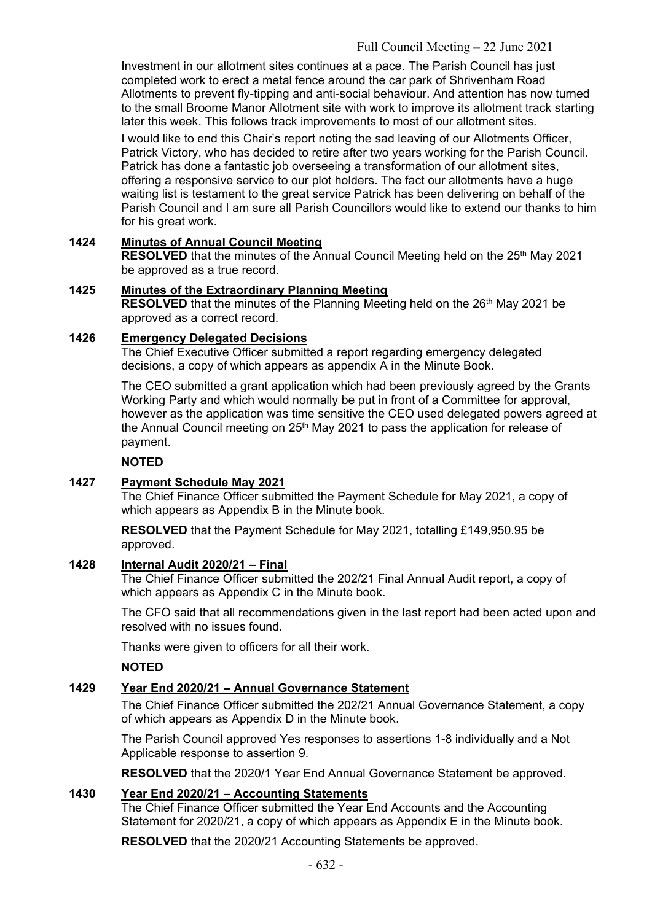Investment in our allotment sites continues at a pace. The Parish Council has just completed work to erect a metal fence around the car park of Shrivenham Road Allotments to prevent fly-tipping and anti-social behaviour. And attention has now turned to the small Broome Manor Allotment site with work to improve its allotment track starting later this week. This follows track improvements to most of our allotment sites.

I would like to end this Chair's report noting the sad leaving of our Allotments Officer, Patrick Victory, who has decided to retire after two years working for the Parish Council. Patrick has done a fantastic job overseeing a transformation of our allotment sites, offering a responsive service to our plot holders. The fact our allotments have a huge waiting list is testament to the great service Patrick has been delivering on behalf of the Parish Council and I am sure all Parish Councillors would like to extend our thanks to him for his great work.

## **1424 Minutes of Annual Council Meeting**

**RESOLVED** that the minutes of the Annual Council Meeting held on the 25<sup>th</sup> May 2021 be approved as a true record.

### **1425 Minutes of the Extraordinary Planning Meeting**

**RESOLVED** that the minutes of the Planning Meeting held on the 26<sup>th</sup> May 2021 be approved as a correct record.

## **1426 Emergency Delegated Decisions**

The Chief Executive Officer submitted a report regarding emergency delegated decisions, a copy of which appears as appendix A in the Minute Book.

The CEO submitted a grant application which had been previously agreed by the Grants Working Party and which would normally be put in front of a Committee for approval, however as the application was time sensitive the CEO used delegated powers agreed at the Annual Council meeting on 25<sup>th</sup> May 2021 to pass the application for release of payment.

## **NOTED**

## **1427 Payment Schedule May 2021**

The Chief Finance Officer submitted the Payment Schedule for May 2021, a copy of which appears as Appendix B in the Minute book.

**RESOLVED** that the Payment Schedule for May 2021, totalling £149,950.95 be approved.

### **1428 Internal Audit 2020/21 – Final**

The Chief Finance Officer submitted the 202/21 Final Annual Audit report, a copy of which appears as Appendix C in the Minute book.

The CFO said that all recommendations given in the last report had been acted upon and resolved with no issues found.

Thanks were given to officers for all their work.

## **NOTED**

## **1429 Year End 2020/21 – Annual Governance Statement**

The Chief Finance Officer submitted the 202/21 Annual Governance Statement, a copy of which appears as Appendix D in the Minute book.

The Parish Council approved Yes responses to assertions 1-8 individually and a Not Applicable response to assertion 9.

**RESOLVED** that the 2020/1 Year End Annual Governance Statement be approved.

## **1430 Year End 2020/21 – Accounting Statements**

The Chief Finance Officer submitted the Year End Accounts and the Accounting Statement for 2020/21, a copy of which appears as Appendix E in the Minute book.

**RESOLVED** that the 2020/21 Accounting Statements be approved.